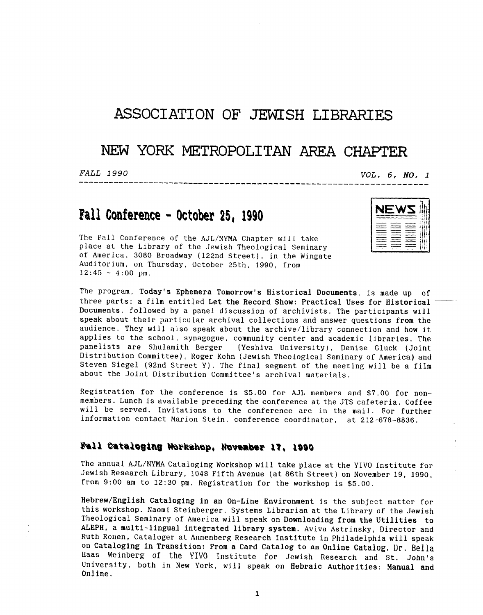### **ASSOCIATION OF** JEWISH LIBRARIES

# **NEW YORK METROPOLITAN AREA CHAPTER**

FALL 1990

 $VOL. 6, NO. 1$ 

# **Fall Conference** - **October 25, 1990**

The Fall Conference of the AJL/NYMA Chapter will take place at the Library of the Jewish Theological Seminary of America, 3080 Broadway (122nd Street), in the Wingate Auditorium, on Thursday, October 25th, 1990, from  $12:45 - 4:00$  pm.

The program, Today's Ephemera Tomorrow's Historical Documents, is made up of three parts: a film entitled Let the Record Show: Practical Uses for Historical Documents, followed by a panel discussion of archivists. The participants will speak about their particular archival collections and answer questions from the audience. They will also speak about the archive/library connection and how it applies to the school, synagogue, community center and academic libraries. The panelists are Shulamith Berger (Yeshiva University). Denise Gluck (Joint (Yeshiva University), Denise Gluck (Joint Distribution Committee), Roger Kohn (Jewish Theological Seminary of America) and Steven Siege1 (92nd Street Y). The final segment of the meeting will be a film about the Joint Distribution Committee's archival materials.

Registration for the conference is *\$5.00* for AJL members and \$7.00 for nonmembers. Lunch is available preceding the conference at the JTS cafeteria. Coffee will be served. Invitations to the conference are in the mail. For further information contact Marion Stein, conference coordinator, at 212-678-8836.

#### Fall Cataloging Workshop, November 17, 1990

The annual AJL/NYMA Cataloging Workshop will take place at the YIVO Institute for Jewish Research Library, 1048 Fifth Avenue (at 86th Street) on November 19, 1990, from 9:00 am to 12:30 pm. Registration for the workshop is \$5.00.

Hebrew/English Cataloging in an On-Line Environment is the subject matter for this workshop. Naomi Steinberger, Systems Librarian at the Library of the Jewish Theological Seminary of America will speak on Downloading from the Utilities to ALEPH, a multi-lingual integrated library system. Aviva Astrinsky, Director and Ruth Ronen, Cataloger at Annenberg Research Institute in Philadelphia will speak on Cataloging in Transition: From a Card Catalog to **an** Online Catalog. Dr. Bella **Haas Weinberg** of the YIVO Institute for Jewish Research and St. John's University, both in New York, will speak on Hebraic Authorities: **Manual** and Online.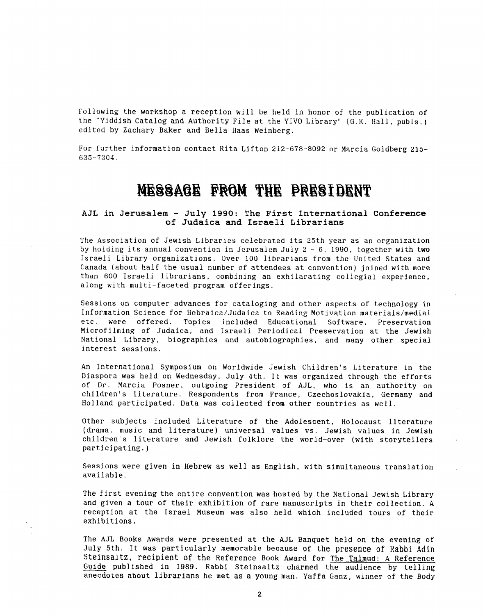Following the workshop a reception will be held in honor of the publication of the "Yiddish Catalog and Authority File at the YIVO Library" (G.K. Hall, publs. **<sup>J</sup>** edited **by** Zachary Baker and Bella Haas Weinberg.

For further information contact Rita Lifton 212-678-8092 or Marcia Goldberg 215-635-7303.

# MESSAGE FROM THE PRESIDENT

#### **AJL in Jerusalem** - **July 1990: The First International Conference of Judaica and Israeli Librarians**

The Association of Jewish Libraries celebrated its 25th year as an organization by holding its annual convention in Jerusalem July  $2 - 6$ , 1990, together with two Israeli Library organizations. Over 100 librarians from the United States and Canada (about half the usual number of attendees at convention) joined with more than 600 Israeli librarians, combining an exhilarating collegial experience, along with multi-faceted program offerings.

Sessions on computer advances for cataloging and other aspects of technology in Information Science for Hebraica/Judaica to Reading Motivation materials/medial were offered. Topics included Educational Software, Preservation Microfilming of Judaica, and Israeli Periodical Preservation at the Jewish National Library, biographies and autobiographies, and many other special interest sessions.

An International Symposium on Worldwide Jewish Children's Literature in the Diaspora was held on Wednesday, July 4th. It was organized through the efforts of Dr. Marcia Posner, outgoing President of AJL, who is an authority on children's literature. Respondents from France, Czechoslovakia, Germany and Holland participated. Data was collected from other countries as well.

Other subjects included Literature of the Adolescent, Holocaust literature (drama, music and literature) universal values vs. Jewish values in Jewish children's literature and Jewish folklore the world-over (with storytellers participating.)

Sessions were given in Hebrew as well as English, with simultaneous translation available.

The first evening the entire convention was hosted by the National Jewish Library and given a tour of their exhibition of rare manuscripts in their collection. **<sup>A</sup>** reception at the Israel Museum was also held which included tours of their exhibitions.

The AJL Books Awards were presented at the **AJL** Banquet held on the evening of July 5th. It was particularly memorable because of the presence **of Rabbi Adin**  Steinsaltz, **recipient of** the Reference **Book** Award for The Talmud: **A** Reference Guide published in 1989. Rabbi Steinsaltz charmed the audience by telling anecdotes about librarians he met **as** a young man. Yaffa Ganz, winner of the Body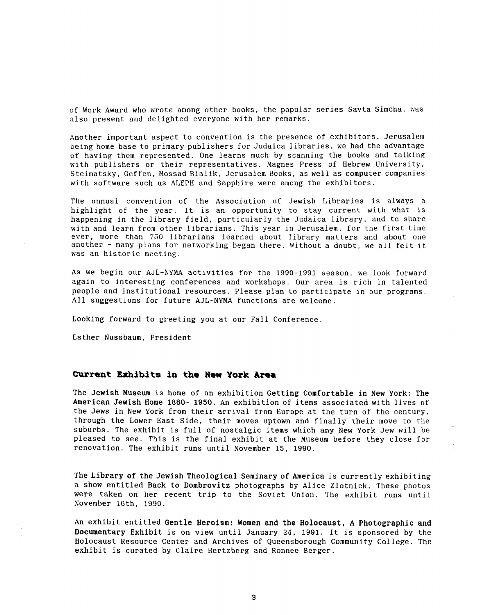of Work Award who wrote among other books, the popular series Savta Simcha. was also present and delighted everyone with her remarks.

Another important aspect to convention is the presence of exhibitors. Jerusalem being home base to primary publishers for Judaica libraries, we had the advantage of having them represented. One learns much by scanning the books and talking with publishers or their representatives. Magnes Press of Hebrew University, Steimatsky, Geffen, Mossad Bialik, Jerusalem Books, as well as computer companies with software such as ALEPH and Sapphire were among the exhibitors.

The annual convention of the Association of Jewish Libraries is always a highlight of the year. It is an opportunity to stay current with what is happening in the library field, particularly the Judaica library, and to share with and learn from other librarians. This year in Jerusalem, for the first time ever, more than 750 librarians learned about library matters and about one another - many plans for networking began there. Without a doubt, we all felt it was an historic meeting.

**As** we begin our AJL-NYMA activities for the 1990-1991 season, we look forward again to interesting conferences and workshops. Our area is rich in talented people and institutional resources. Please plan to participate in our programs. All suggestions for future AJL-NYMA functions are welcome.

Looking forward to greeting you at our Fall Conference

Esther Nussbaum, President

#### **Current Exhibits In the New YocR Area**

The Jewish Museum is home of an exhibition Getting Comfortable in New York: The American Jewish Home 1880- 1950. An exhibition of items associated with lives of the Jews in New York from their arrival from Europe at the turn of the century, through the Lower East Side, their moves uptown and finally their move to the suburbs. The exhibit is full of nostalgic items which any New York Jew will be pleased to see. This is the final exhibit at the Museum before they close for renovation. The exhibit runs until November 15, 1990.

The Library of the Jewish Theological Seminary of America is currently exhibiting a show entitled Back to Dombrovitz photographs by Alice Zlotnick. These photos were taken on her recent trip to the Soviet Union. The exhibit runs until November 16th, 1990.

An exhibit entitled Gentle Heroism: Women and the Holocaust, **A** Photographic and Documentary Exhibit is on view until January 24, 1991. It is sponsored by the Holocaust Resource Center and Archives of Queensborough Community College. The exhibit is curated by Claire Hertzberg and Ronnee Berger.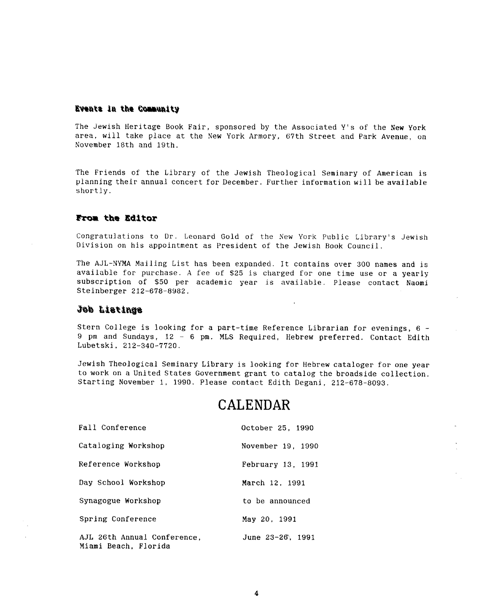#### Events in the Community

The Jewish Heritage Book Fair, sponsored by the Associated Y's of the New York area, will take place at the New York Armory, 67th Street and Park Avenue, on November 18th and 19th.

The Friends of the Library of the Jewish Theological Seminary of American is planning their annual concert for December. Further information will be available shortly.

#### **From the Editor**

Congratulations to Dr. Leonard Gold of the New York Public Library's Jewish Division on his appointment *as* President of the Jewish Book Council.

The AJL-NYMA Mailing List has been expanded. It contains over *300* names and is available for purchase. **A** fee of \$25 is charged for one time use or a yearly subscription of \$50 per academic year is available. Please contact Naomi Steinberger 212-678-8982.

 $\mathbf{r}$ 

#### aphitail dol

Stern College is looking for a part-time Reference Librarian for evenings, 6 - 9 pm and Sundays, 12 - 6 pm. MLS Required, Hebrew preferred. Contact Edith Lubetski. 212-340-7720.

Jewish Theological Seminary Library is looking for Hebrew cataloger for one year to work on a United States Government grant to catalog the broadside collection. Starting November 1, 1990. Please contact Edith Degani, 212-678-8093.

### **CALENDAR**

| Fall Conference                                     | October 25, 1990  |
|-----------------------------------------------------|-------------------|
| Cataloging Workshop                                 | November 19, 1990 |
| Reference Workshop                                  | February 13, 1991 |
| Day School Workshop                                 | March 12, 1991    |
| Synagogue Workshop                                  | to be announced   |
| Spring Conference                                   | May 20, 1991      |
| AJL 26th Annual Conference.<br>Miami Beach, Florida | June 23-26, 1991  |